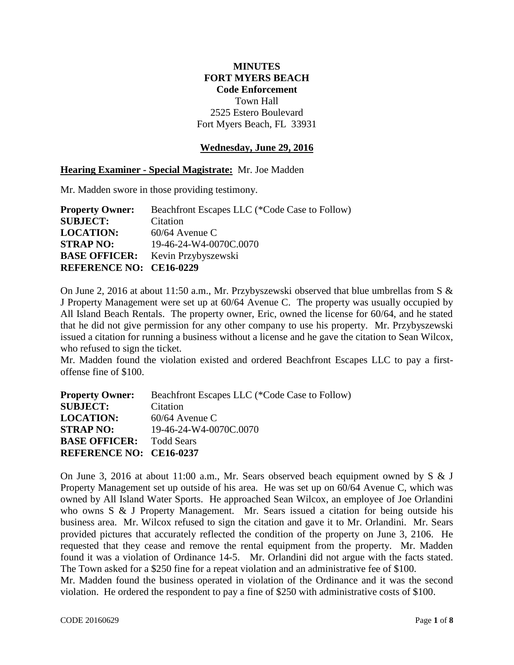## **MINUTES FORT MYERS BEACH Code Enforcement** Town Hall 2525 Estero Boulevard Fort Myers Beach, FL 33931

## **Wednesday, June 29, 2016**

## **Hearing Examiner - Special Magistrate:** Mr. Joe Madden

Mr. Madden swore in those providing testimony.

| <b>Property Owner:</b>         | Beachfront Escapes LLC (*Code Case to Follow) |
|--------------------------------|-----------------------------------------------|
| <b>SUBJECT:</b>                | Citation                                      |
| <b>LOCATION:</b>               | $60/64$ Avenue C                              |
| <b>STRAP NO:</b>               | 19-46-24-W4-0070C.0070                        |
|                                | <b>BASE OFFICER:</b> Kevin Przybyszewski      |
| <b>REFERENCE NO: CE16-0229</b> |                                               |

On June 2, 2016 at about 11:50 a.m., Mr. Przybyszewski observed that blue umbrellas from S & J Property Management were set up at 60/64 Avenue C. The property was usually occupied by All Island Beach Rentals. The property owner, Eric, owned the license for 60/64, and he stated that he did not give permission for any other company to use his property. Mr. Przybyszewski issued a citation for running a business without a license and he gave the citation to Sean Wilcox, who refused to sign the ticket.

Mr. Madden found the violation existed and ordered Beachfront Escapes LLC to pay a firstoffense fine of \$100.

| <b>Property Owner:</b>          | Beachfront Escapes LLC (*Code Case to Follow) |
|---------------------------------|-----------------------------------------------|
| <b>SUBJECT:</b>                 | Citation                                      |
| <b>LOCATION:</b>                | $60/64$ Avenue C                              |
| <b>STRAP NO:</b>                | 19-46-24-W4-0070C.0070                        |
| <b>BASE OFFICER:</b> Todd Sears |                                               |
| <b>REFERENCE NO: CE16-0237</b>  |                                               |

On June 3, 2016 at about 11:00 a.m., Mr. Sears observed beach equipment owned by S & J Property Management set up outside of his area. He was set up on 60/64 Avenue C, which was owned by All Island Water Sports. He approached Sean Wilcox, an employee of Joe Orlandini who owns S & J Property Management. Mr. Sears issued a citation for being outside his business area. Mr. Wilcox refused to sign the citation and gave it to Mr. Orlandini. Mr. Sears provided pictures that accurately reflected the condition of the property on June 3, 2106. He requested that they cease and remove the rental equipment from the property. Mr. Madden found it was a violation of Ordinance 14-5. Mr. Orlandini did not argue with the facts stated. The Town asked for a \$250 fine for a repeat violation and an administrative fee of \$100.

Mr. Madden found the business operated in violation of the Ordinance and it was the second violation. He ordered the respondent to pay a fine of \$250 with administrative costs of \$100.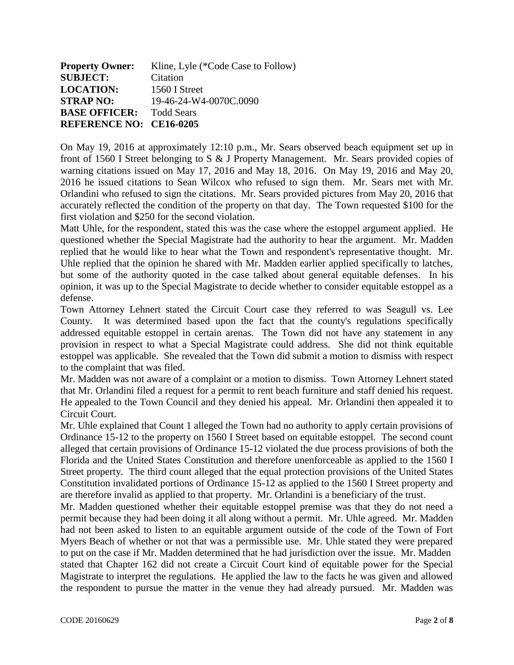| <b>Property Owner:</b>          | Kline, Lyle (*Code Case to Follow) |
|---------------------------------|------------------------------------|
| <b>SUBJECT:</b>                 | Citation                           |
| <b>LOCATION:</b>                | 1560 I Street                      |
| <b>STRAP NO:</b>                | 19-46-24-W4-0070C.0090             |
| <b>BASE OFFICER:</b> Todd Sears |                                    |
| <b>REFERENCE NO: CE16-0205</b>  |                                    |

On May 19, 2016 at approximately 12:10 p.m., Mr. Sears observed beach equipment set up in front of 1560 I Street belonging to S & J Property Management. Mr. Sears provided copies of warning citations issued on May 17, 2016 and May 18, 2016. On May 19, 2016 and May 20, 2016 he issued citations to Sean Wilcox who refused to sign them. Mr. Sears met with Mr. Orlandini who refused to sign the citations. Mr. Sears provided pictures from May 20, 2016 that accurately reflected the condition of the property on that day. The Town requested \$100 for the first violation and \$250 for the second violation.

Matt Uhle, for the respondent, stated this was the case where the estoppel argument applied. He questioned whether the Special Magistrate had the authority to hear the argument. Mr. Madden replied that he would like to hear what the Town and respondent's representative thought. Mr. Uhle replied that the opinion he shared with Mr. Madden earlier applied specifically to latches, but some of the authority quoted in the case talked about general equitable defenses. In his opinion, it was up to the Special Magistrate to decide whether to consider equitable estoppel as a defense.

Town Attorney Lehnert stated the Circuit Court case they referred to was Seagull vs. Lee County. It was determined based upon the fact that the county's regulations specifically addressed equitable estoppel in certain arenas. The Town did not have any statement in any provision in respect to what a Special Magistrate could address. She did not think equitable estoppel was applicable. She revealed that the Town did submit a motion to dismiss with respect to the complaint that was filed.

Mr. Madden was not aware of a complaint or a motion to dismiss. Town Attorney Lehnert stated that Mr. Orlandini filed a request for a permit to rent beach furniture and staff denied his request. He appealed to the Town Council and they denied his appeal. Mr. Orlandini then appealed it to Circuit Court.

Mr. Uhle explained that Count 1 alleged the Town had no authority to apply certain provisions of Ordinance 15-12 to the property on 1560 I Street based on equitable estoppel. The second count alleged that certain provisions of Ordinance 15-12 violated the due process provisions of both the Florida and the United States Constitution and therefore unenforceable as applied to the 1560 I Street property. The third count alleged that the equal protection provisions of the United States Constitution invalidated portions of Ordinance 15-12 as applied to the 1560 I Street property and are therefore invalid as applied to that property. Mr. Orlandini is a beneficiary of the trust.

Mr. Madden questioned whether their equitable estoppel premise was that they do not need a permit because they had been doing it all along without a permit. Mr. Uhle agreed. Mr. Madden had not been asked to listen to an equitable argument outside of the code of the Town of Fort Myers Beach of whether or not that was a permissible use. Mr. Uhle stated they were prepared to put on the case if Mr. Madden determined that he had jurisdiction over the issue. Mr. Madden stated that Chapter 162 did not create a Circuit Court kind of equitable power for the Special Magistrate to interpret the regulations. He applied the law to the facts he was given and allowed the respondent to pursue the matter in the venue they had already pursued. Mr. Madden was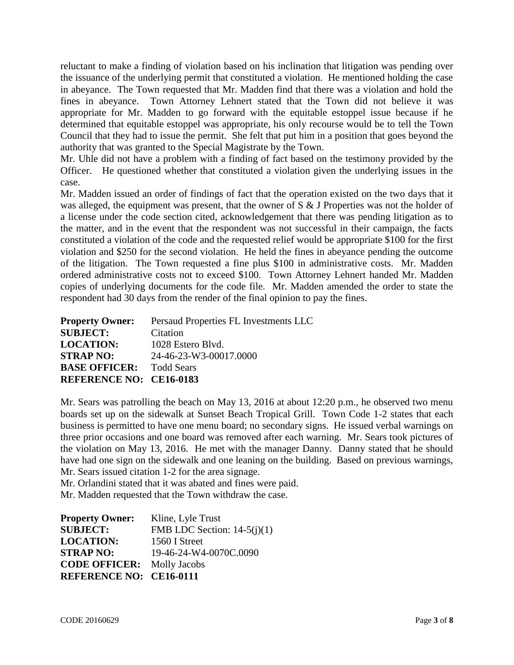reluctant to make a finding of violation based on his inclination that litigation was pending over the issuance of the underlying permit that constituted a violation. He mentioned holding the case in abeyance. The Town requested that Mr. Madden find that there was a violation and hold the fines in abeyance. Town Attorney Lehnert stated that the Town did not believe it was appropriate for Mr. Madden to go forward with the equitable estoppel issue because if he determined that equitable estoppel was appropriate, his only recourse would be to tell the Town Council that they had to issue the permit. She felt that put him in a position that goes beyond the authority that was granted to the Special Magistrate by the Town.

Mr. Uhle did not have a problem with a finding of fact based on the testimony provided by the Officer. He questioned whether that constituted a violation given the underlying issues in the case.

Mr. Madden issued an order of findings of fact that the operation existed on the two days that it was alleged, the equipment was present, that the owner of S & J Properties was not the holder of a license under the code section cited, acknowledgement that there was pending litigation as to the matter, and in the event that the respondent was not successful in their campaign, the facts constituted a violation of the code and the requested relief would be appropriate \$100 for the first violation and \$250 for the second violation. He held the fines in abeyance pending the outcome of the litigation. The Town requested a fine plus \$100 in administrative costs. Mr. Madden ordered administrative costs not to exceed \$100. Town Attorney Lehnert handed Mr. Madden copies of underlying documents for the code file. Mr. Madden amended the order to state the respondent had 30 days from the render of the final opinion to pay the fines.

| <b>Property Owner:</b>          | Persaud Properties FL Investments LLC |
|---------------------------------|---------------------------------------|
| <b>SUBJECT:</b>                 | Citation                              |
| <b>LOCATION:</b>                | 1028 Estero Blvd.                     |
| <b>STRAP NO:</b>                | 24-46-23-W3-00017.0000                |
| <b>BASE OFFICER:</b> Todd Sears |                                       |
| <b>REFERENCE NO: CE16-0183</b>  |                                       |

Mr. Sears was patrolling the beach on May 13, 2016 at about 12:20 p.m., he observed two menu boards set up on the sidewalk at Sunset Beach Tropical Grill. Town Code 1-2 states that each business is permitted to have one menu board; no secondary signs. He issued verbal warnings on three prior occasions and one board was removed after each warning. Mr. Sears took pictures of the violation on May 13, 2016. He met with the manager Danny. Danny stated that he should have had one sign on the sidewalk and one leaning on the building. Based on previous warnings, Mr. Sears issued citation 1-2 for the area signage.

Mr. Orlandini stated that it was abated and fines were paid. Mr. Madden requested that the Town withdraw the case.

| <b>Property Owner:</b>            | Kline, Lyle Trust             |
|-----------------------------------|-------------------------------|
| <b>SUBJECT:</b>                   | FMB LDC Section: $14-5(i)(1)$ |
| <b>LOCATION:</b>                  | 1560 I Street                 |
| <b>STRAP NO:</b>                  | 19-46-24-W4-0070C.0090        |
| <b>CODE OFFICER:</b> Molly Jacobs |                               |
| <b>REFERENCE NO: CE16-0111</b>    |                               |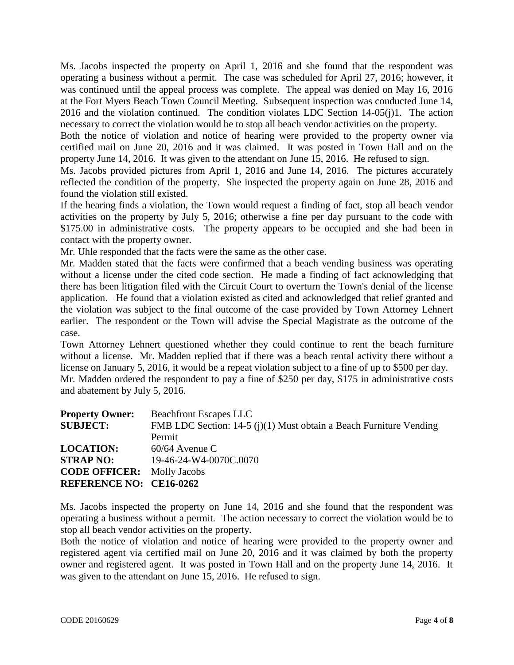Ms. Jacobs inspected the property on April 1, 2016 and she found that the respondent was operating a business without a permit. The case was scheduled for April 27, 2016; however, it was continued until the appeal process was complete. The appeal was denied on May 16, 2016 at the Fort Myers Beach Town Council Meeting. Subsequent inspection was conducted June 14, 2016 and the violation continued. The condition violates LDC Section 14-05(j)1. The action necessary to correct the violation would be to stop all beach vendor activities on the property.

Both the notice of violation and notice of hearing were provided to the property owner via certified mail on June 20, 2016 and it was claimed. It was posted in Town Hall and on the property June 14, 2016. It was given to the attendant on June 15, 2016. He refused to sign.

Ms. Jacobs provided pictures from April 1, 2016 and June 14, 2016. The pictures accurately reflected the condition of the property. She inspected the property again on June 28, 2016 and found the violation still existed.

If the hearing finds a violation, the Town would request a finding of fact, stop all beach vendor activities on the property by July 5, 2016; otherwise a fine per day pursuant to the code with \$175.00 in administrative costs. The property appears to be occupied and she had been in contact with the property owner.

Mr. Uhle responded that the facts were the same as the other case.

Mr. Madden stated that the facts were confirmed that a beach vending business was operating without a license under the cited code section. He made a finding of fact acknowledging that there has been litigation filed with the Circuit Court to overturn the Town's denial of the license application. He found that a violation existed as cited and acknowledged that relief granted and the violation was subject to the final outcome of the case provided by Town Attorney Lehnert earlier. The respondent or the Town will advise the Special Magistrate as the outcome of the case.

Town Attorney Lehnert questioned whether they could continue to rent the beach furniture without a license. Mr. Madden replied that if there was a beach rental activity there without a license on January 5, 2016, it would be a repeat violation subject to a fine of up to \$500 per day. Mr. Madden ordered the respondent to pay a fine of \$250 per day, \$175 in administrative costs and abatement by July 5, 2016.

| <b>Property Owner:</b>            | <b>Beachfront Escapes LLC</b>                                      |
|-----------------------------------|--------------------------------------------------------------------|
| <b>SUBJECT:</b>                   | FMB LDC Section: 14-5 (j)(1) Must obtain a Beach Furniture Vending |
|                                   | Permit                                                             |
| <b>LOCATION:</b>                  | $60/64$ Avenue C                                                   |
| <b>STRAP NO:</b>                  | 19-46-24-W4-0070C.0070                                             |
| <b>CODE OFFICER:</b> Molly Jacobs |                                                                    |
| <b>REFERENCE NO: CE16-0262</b>    |                                                                    |

Ms. Jacobs inspected the property on June 14, 2016 and she found that the respondent was operating a business without a permit. The action necessary to correct the violation would be to stop all beach vendor activities on the property.

Both the notice of violation and notice of hearing were provided to the property owner and registered agent via certified mail on June 20, 2016 and it was claimed by both the property owner and registered agent. It was posted in Town Hall and on the property June 14, 2016. It was given to the attendant on June 15, 2016. He refused to sign.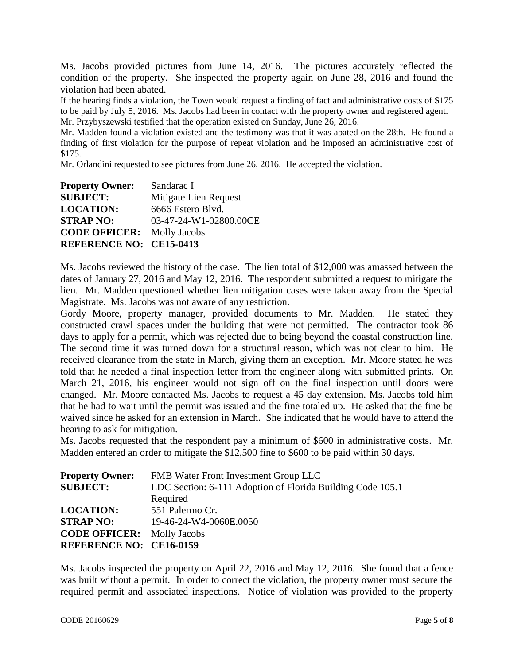Ms. Jacobs provided pictures from June 14, 2016. The pictures accurately reflected the condition of the property. She inspected the property again on June 28, 2016 and found the violation had been abated.

If the hearing finds a violation, the Town would request a finding of fact and administrative costs of \$175 to be paid by July 5, 2016. Ms. Jacobs had been in contact with the property owner and registered agent. Mr. Przybyszewski testified that the operation existed on Sunday, June 26, 2016.

Mr. Madden found a violation existed and the testimony was that it was abated on the 28th. He found a finding of first violation for the purpose of repeat violation and he imposed an administrative cost of \$175.

Mr. Orlandini requested to see pictures from June 26, 2016. He accepted the violation.

| <b>Property Owner:</b>         | Sandarac I             |
|--------------------------------|------------------------|
| <b>SUBJECT:</b>                | Mitigate Lien Request  |
| <b>LOCATION:</b>               | 6666 Estero Blvd.      |
| <b>STRAP NO:</b>               | 03-47-24-W1-02800.00CE |
| <b>CODE OFFICER:</b>           | <b>Molly Jacobs</b>    |
| <b>REFERENCE NO: CE15-0413</b> |                        |

Ms. Jacobs reviewed the history of the case. The lien total of \$12,000 was amassed between the dates of January 27, 2016 and May 12, 2016. The respondent submitted a request to mitigate the lien. Mr. Madden questioned whether lien mitigation cases were taken away from the Special Magistrate. Ms. Jacobs was not aware of any restriction.

Gordy Moore, property manager, provided documents to Mr. Madden. He stated they constructed crawl spaces under the building that were not permitted. The contractor took 86 days to apply for a permit, which was rejected due to being beyond the coastal construction line. The second time it was turned down for a structural reason, which was not clear to him. He received clearance from the state in March, giving them an exception. Mr. Moore stated he was told that he needed a final inspection letter from the engineer along with submitted prints. On March 21, 2016, his engineer would not sign off on the final inspection until doors were changed. Mr. Moore contacted Ms. Jacobs to request a 45 day extension. Ms. Jacobs told him that he had to wait until the permit was issued and the fine totaled up. He asked that the fine be waived since he asked for an extension in March. She indicated that he would have to attend the hearing to ask for mitigation.

Ms. Jacobs requested that the respondent pay a minimum of \$600 in administrative costs. Mr. Madden entered an order to mitigate the \$12,500 fine to \$600 to be paid within 30 days.

| <b>Property Owner:</b>            | FMB Water Front Investment Group LLC                       |
|-----------------------------------|------------------------------------------------------------|
| <b>SUBJECT:</b>                   | LDC Section: 6-111 Adoption of Florida Building Code 105.1 |
|                                   | Required                                                   |
| <b>LOCATION:</b>                  | 551 Palermo Cr.                                            |
| <b>STRAP NO:</b>                  | 19-46-24-W4-0060E.0050                                     |
| <b>CODE OFFICER:</b> Molly Jacobs |                                                            |
| <b>REFERENCE NO: CE16-0159</b>    |                                                            |

Ms. Jacobs inspected the property on April 22, 2016 and May 12, 2016. She found that a fence was built without a permit. In order to correct the violation, the property owner must secure the required permit and associated inspections. Notice of violation was provided to the property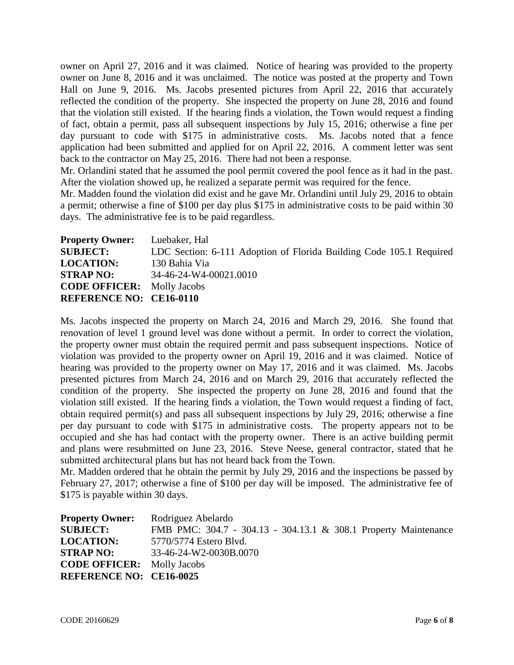owner on April 27, 2016 and it was claimed. Notice of hearing was provided to the property owner on June 8, 2016 and it was unclaimed. The notice was posted at the property and Town Hall on June 9, 2016. Ms. Jacobs presented pictures from April 22, 2016 that accurately reflected the condition of the property. She inspected the property on June 28, 2016 and found that the violation still existed. If the hearing finds a violation, the Town would request a finding of fact, obtain a permit, pass all subsequent inspections by July 15, 2016; otherwise a fine per day pursuant to code with \$175 in administrative costs. Ms. Jacobs noted that a fence application had been submitted and applied for on April 22, 2016. A comment letter was sent back to the contractor on May 25, 2016. There had not been a response.

Mr. Orlandini stated that he assumed the pool permit covered the pool fence as it had in the past. After the violation showed up, he realized a separate permit was required for the fence.

Mr. Madden found the violation did exist and he gave Mr. Orlandini until July 29, 2016 to obtain a permit; otherwise a fine of \$100 per day plus \$175 in administrative costs to be paid within 30 days. The administrative fee is to be paid regardless.

| <b>Property Owner:</b>            | Luebaker, Hal                                                       |
|-----------------------------------|---------------------------------------------------------------------|
| <b>SUBJECT:</b>                   | LDC Section: 6-111 Adoption of Florida Building Code 105.1 Required |
| <b>LOCATION:</b>                  | 130 Bahia Via                                                       |
| <b>STRAP NO:</b>                  | 34-46-24-W4-00021.0010                                              |
| <b>CODE OFFICER:</b> Molly Jacobs |                                                                     |
| <b>REFERENCE NO: CE16-0110</b>    |                                                                     |

Ms. Jacobs inspected the property on March 24, 2016 and March 29, 2016. She found that renovation of level 1 ground level was done without a permit. In order to correct the violation, the property owner must obtain the required permit and pass subsequent inspections. Notice of violation was provided to the property owner on April 19, 2016 and it was claimed. Notice of hearing was provided to the property owner on May 17, 2016 and it was claimed. Ms. Jacobs presented pictures from March 24, 2016 and on March 29, 2016 that accurately reflected the condition of the property. She inspected the property on June 28, 2016 and found that the violation still existed. If the hearing finds a violation, the Town would request a finding of fact, obtain required permit(s) and pass all subsequent inspections by July 29, 2016; otherwise a fine per day pursuant to code with \$175 in administrative costs. The property appears not to be occupied and she has had contact with the property owner. There is an active building permit and plans were resubmitted on June 23, 2016. Steve Neese, general contractor, stated that he submitted architectural plans but has not heard back from the Town.

Mr. Madden ordered that he obtain the permit by July 29, 2016 and the inspections be passed by February 27, 2017; otherwise a fine of \$100 per day will be imposed. The administrative fee of \$175 is payable within 30 days.

| <b>Property Owner:</b>            | Rodriguez Abelardo                                              |
|-----------------------------------|-----------------------------------------------------------------|
| <b>SUBJECT:</b>                   | FMB PMC: 304.7 - 304.13 - 304.13.1 & 308.1 Property Maintenance |
| <b>LOCATION:</b>                  | 5770/5774 Estero Blvd.                                          |
| <b>STRAP NO:</b>                  | 33-46-24-W2-0030B.0070                                          |
| <b>CODE OFFICER:</b> Molly Jacobs |                                                                 |
| <b>REFERENCE NO: CE16-0025</b>    |                                                                 |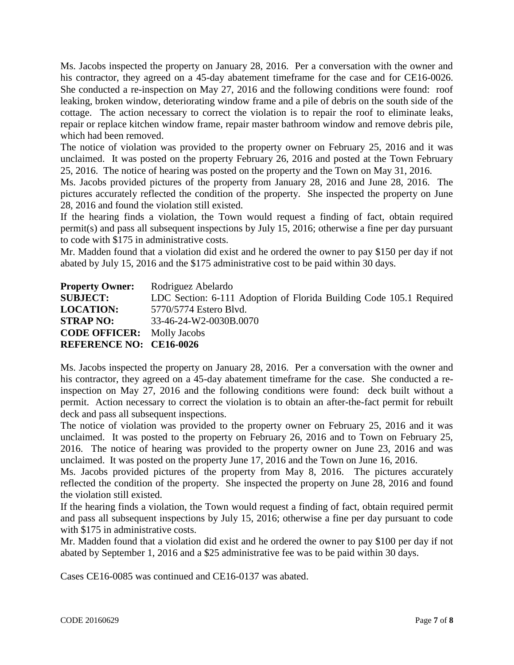Ms. Jacobs inspected the property on January 28, 2016. Per a conversation with the owner and his contractor, they agreed on a 45-day abatement timeframe for the case and for CE16-0026. She conducted a re-inspection on May 27, 2016 and the following conditions were found: roof leaking, broken window, deteriorating window frame and a pile of debris on the south side of the cottage. The action necessary to correct the violation is to repair the roof to eliminate leaks, repair or replace kitchen window frame, repair master bathroom window and remove debris pile, which had been removed.

The notice of violation was provided to the property owner on February 25, 2016 and it was unclaimed. It was posted on the property February 26, 2016 and posted at the Town February 25, 2016. The notice of hearing was posted on the property and the Town on May 31, 2016.

Ms. Jacobs provided pictures of the property from January 28, 2016 and June 28, 2016. The pictures accurately reflected the condition of the property. She inspected the property on June 28, 2016 and found the violation still existed.

If the hearing finds a violation, the Town would request a finding of fact, obtain required permit(s) and pass all subsequent inspections by July 15, 2016; otherwise a fine per day pursuant to code with \$175 in administrative costs.

Mr. Madden found that a violation did exist and he ordered the owner to pay \$150 per day if not abated by July 15, 2016 and the \$175 administrative cost to be paid within 30 days.

| <b>Property Owner:</b>            | Rodriguez Abelardo                                                  |
|-----------------------------------|---------------------------------------------------------------------|
| <b>SUBJECT:</b>                   | LDC Section: 6-111 Adoption of Florida Building Code 105.1 Required |
| <b>LOCATION:</b>                  | 5770/5774 Estero Blyd.                                              |
| <b>STRAP NO:</b>                  | 33-46-24-W2-0030B.0070                                              |
| <b>CODE OFFICER:</b> Molly Jacobs |                                                                     |
| <b>REFERENCE NO: CE16-0026</b>    |                                                                     |

Ms. Jacobs inspected the property on January 28, 2016. Per a conversation with the owner and his contractor, they agreed on a 45-day abatement timeframe for the case. She conducted a reinspection on May 27, 2016 and the following conditions were found: deck built without a permit. Action necessary to correct the violation is to obtain an after-the-fact permit for rebuilt deck and pass all subsequent inspections.

The notice of violation was provided to the property owner on February 25, 2016 and it was unclaimed. It was posted to the property on February 26, 2016 and to Town on February 25, 2016. The notice of hearing was provided to the property owner on June 23, 2016 and was unclaimed. It was posted on the property June 17, 2016 and the Town on June 16, 2016.

Ms. Jacobs provided pictures of the property from May 8, 2016. The pictures accurately reflected the condition of the property. She inspected the property on June 28, 2016 and found the violation still existed.

If the hearing finds a violation, the Town would request a finding of fact, obtain required permit and pass all subsequent inspections by July 15, 2016; otherwise a fine per day pursuant to code with \$175 in administrative costs.

Mr. Madden found that a violation did exist and he ordered the owner to pay \$100 per day if not abated by September 1, 2016 and a \$25 administrative fee was to be paid within 30 days.

Cases CE16-0085 was continued and CE16-0137 was abated.